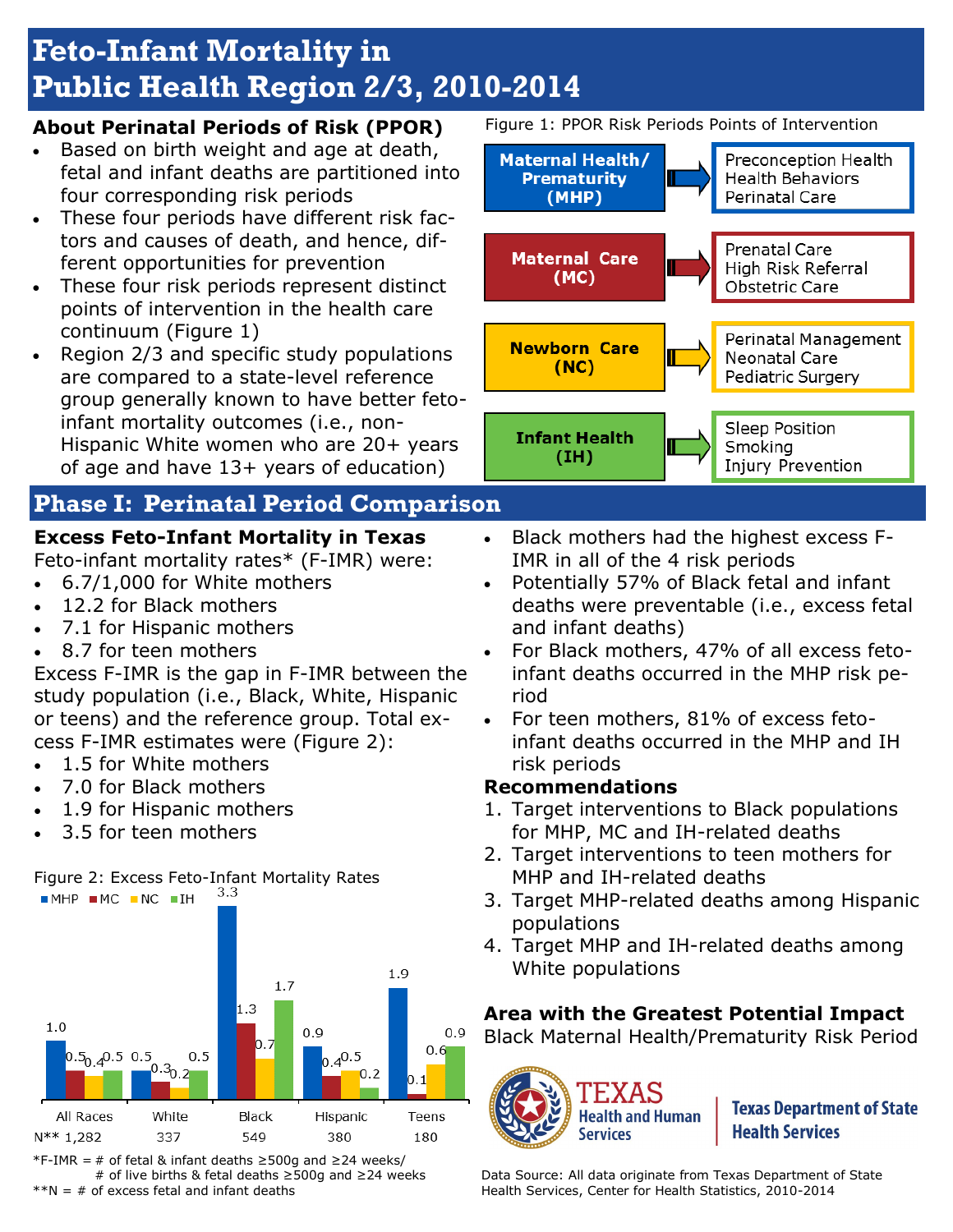# **Feto-Infant Mortality in Public Health Region 2/3, 2010-2014**

#### **About Perinatal Periods of Risk (PPOR)**

- Based on birth weight and age at death, fetal and infant deaths are partitioned into four corresponding risk periods
- These four periods have different risk factors and causes of death, and hence, different opportunities for prevention
- These four risk periods represent distinct points of intervention in the health care continuum (Figure 1)
- Region 2/3 and specific study populations are compared to a state-level reference group generally known to have better fetoinfant mortality outcomes (i.e., non-Hispanic White women who are 20+ years of age and have 13+ years of education)

## **Phase I: Perinatal Period Comparison**

## **Excess Feto-Infant Mortality in Texas**

Feto-infant mortality rates\* (F-IMR) were:

- 6.7/1,000 for White mothers
- 12.2 for Black mothers
- 7.1 for Hispanic mothers
- 8.7 for teen mothers

Excess F-IMR is the gap in F-IMR between the study population (i.e., Black, White, Hispanic or teens) and the reference group. Total excess F-IMR estimates were (Figure 2):

- 1.5 for White mothers
- 7.0 for Black mothers
- 1.9 for Hispanic mothers
- 3.5 for teen mothers



\*F-IMR = # of fetal & infant deaths ≥500g and ≥24 weeks/ # of live births & fetal deaths ≥500g and ≥24 weeks  $*N = #$  of excess fetal and infant deaths

Figure 1: PPOR Risk Periods Points of Intervention



- Black mothers had the highest excess F-IMR in all of the 4 risk periods
- Potentially 57% of Black fetal and infant deaths were preventable (i.e., excess fetal and infant deaths)
- For Black mothers, 47% of all excess fetoinfant deaths occurred in the MHP risk period
- For teen mothers, 81% of excess fetoinfant deaths occurred in the MHP and IH risk periods

#### **Recommendations**

- 1. Target interventions to Black populations for MHP, MC and IH-related deaths
- 2. Target interventions to teen mothers for MHP and IH-related deaths
- 3. Target MHP-related deaths among Hispanic populations
- 4. Target MHP and IH-related deaths among White populations

### **Area with the Greatest Potential Impact**

Black Maternal Health/Prematurity Risk Period



**Texas Department of State Health Services** 

Data Source: All data originate from Texas Department of State Health Services, Center for Health Statistics, 2010-2014